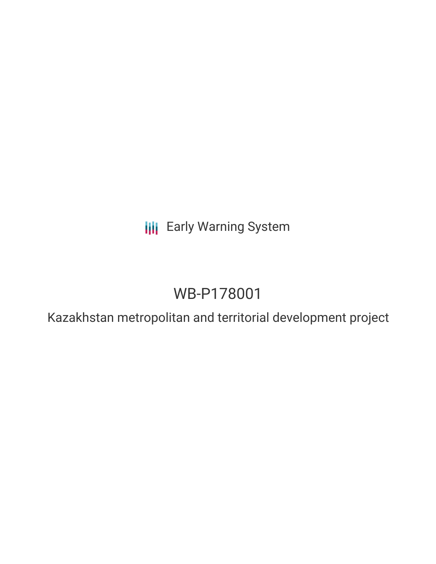**III** Early Warning System

# WB-P178001

Kazakhstan metropolitan and territorial development project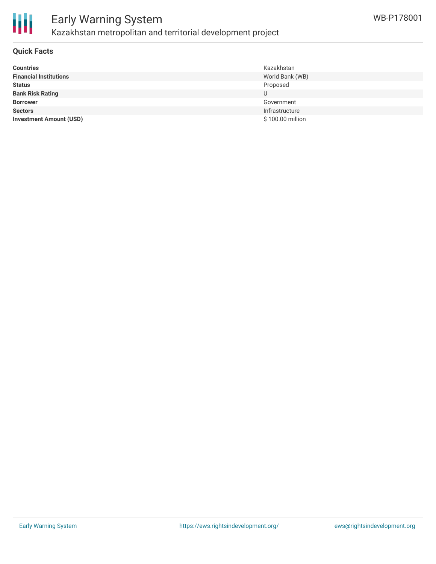



#### **Quick Facts**

| <b>Countries</b>               | Kazakhstan       |
|--------------------------------|------------------|
| <b>Financial Institutions</b>  | World Bank (WB)  |
| <b>Status</b>                  | Proposed         |
| <b>Bank Risk Rating</b>        | U                |
| <b>Borrower</b>                | Government       |
| <b>Sectors</b>                 | Infrastructure   |
| <b>Investment Amount (USD)</b> | \$100.00 million |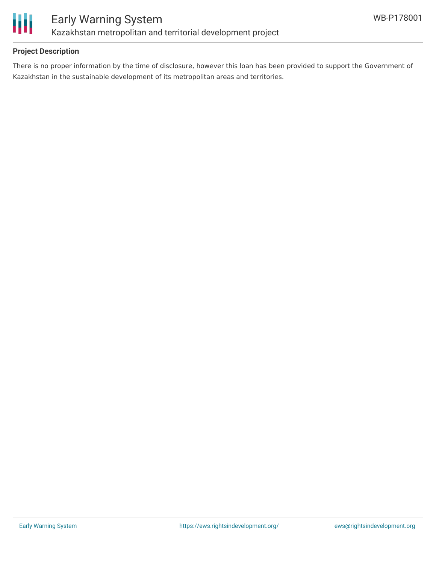

## **Project Description**

There is no proper information by the time of disclosure, however this loan has been provided to support the Government of Kazakhstan in the sustainable development of its metropolitan areas and territories.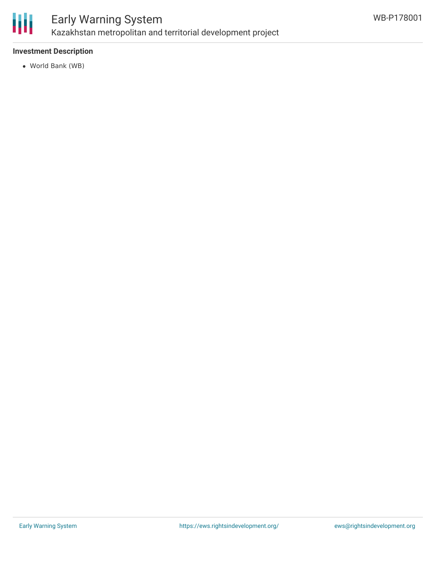

# Early Warning System Kazakhstan metropolitan and territorial development project

# **Investment Description**

World Bank (WB)